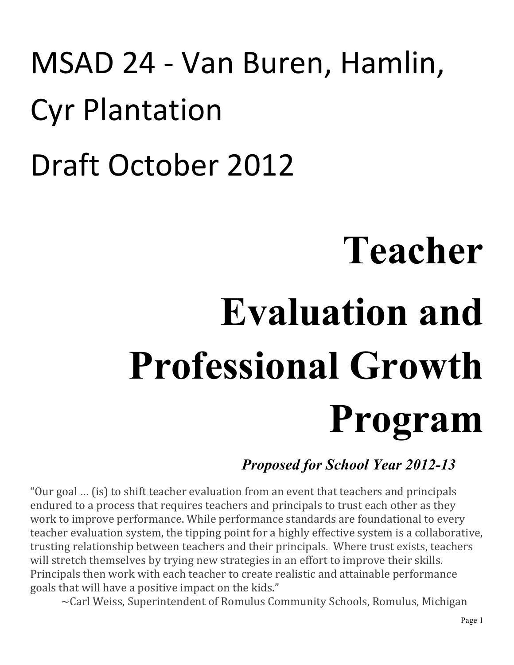## MSAD 24 - Van Buren, Hamlin, Cyr Plantation Draft October 2012

# **Teacher Evaluation and Professional Growth Program**

## *Proposed for School Year 2012-13*

"Our goal ... (is) to shift teacher evaluation from an event that teachers and principals endured to a process that requires teachers and principals to trust each other as they work to improve performance. While performance standards are foundational to every teacher evaluation system, the tipping point for a highly effective system is a collaborative, trusting relationship between teachers and their principals. Where trust exists, teachers will stretch themselves by trying new strategies in an effort to improve their skills. Principals then work with each teacher to create realistic and attainable performance goals that will have a positive impact on the kids."

~Carl Weiss, Superintendent of Romulus Community Schools, Romulus, Michigan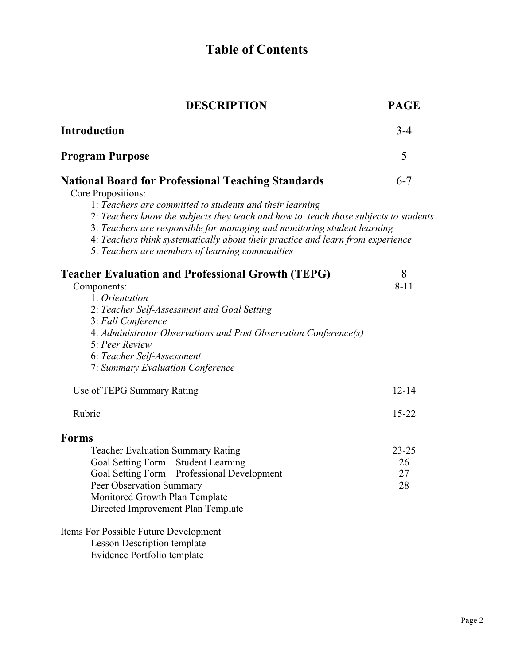## **Table of Contents**

| <b>DESCRIPTION</b>                                                                                                                                                                                                                                                                                     | <b>PAGE</b> |
|--------------------------------------------------------------------------------------------------------------------------------------------------------------------------------------------------------------------------------------------------------------------------------------------------------|-------------|
| <b>Introduction</b>                                                                                                                                                                                                                                                                                    | $3 - 4$     |
| <b>Program Purpose</b>                                                                                                                                                                                                                                                                                 | 5           |
| <b>National Board for Professional Teaching Standards</b><br>Core Propositions:<br>1: Teachers are committed to students and their learning                                                                                                                                                            | $6 - 7$     |
| 2: Teachers know the subjects they teach and how to teach those subjects to students<br>3: Teachers are responsible for managing and monitoring student learning<br>4: Teachers think systematically about their practice and learn from experience<br>5: Teachers are members of learning communities |             |
| <b>Teacher Evaluation and Professional Growth (TEPG)</b>                                                                                                                                                                                                                                               | 8           |
| Components:                                                                                                                                                                                                                                                                                            | $8 - 11$    |
| 1: Orientation                                                                                                                                                                                                                                                                                         |             |
| 2: Teacher Self-Assessment and Goal Setting<br>3: Fall Conference                                                                                                                                                                                                                                      |             |
| 4: Administrator Observations and Post Observation Conference(s)<br>5: Peer Review                                                                                                                                                                                                                     |             |
| 6: Teacher Self-Assessment                                                                                                                                                                                                                                                                             |             |
| 7: Summary Evaluation Conference                                                                                                                                                                                                                                                                       |             |
| Use of TEPG Summary Rating                                                                                                                                                                                                                                                                             | $12 - 14$   |
| Rubric                                                                                                                                                                                                                                                                                                 | $15 - 22$   |
| <b>Forms</b>                                                                                                                                                                                                                                                                                           |             |
| <b>Teacher Evaluation Summary Rating</b>                                                                                                                                                                                                                                                               | $23 - 25$   |
| Goal Setting Form - Student Learning                                                                                                                                                                                                                                                                   | 26          |
| Goal Setting Form - Professional Development                                                                                                                                                                                                                                                           | 27          |
| Peer Observation Summary                                                                                                                                                                                                                                                                               | 28          |
| Monitored Growth Plan Template                                                                                                                                                                                                                                                                         |             |
| Directed Improvement Plan Template                                                                                                                                                                                                                                                                     |             |
| Items For Possible Future Development                                                                                                                                                                                                                                                                  |             |
| <b>Lesson Description template</b>                                                                                                                                                                                                                                                                     |             |
| Evidence Portfolio template                                                                                                                                                                                                                                                                            |             |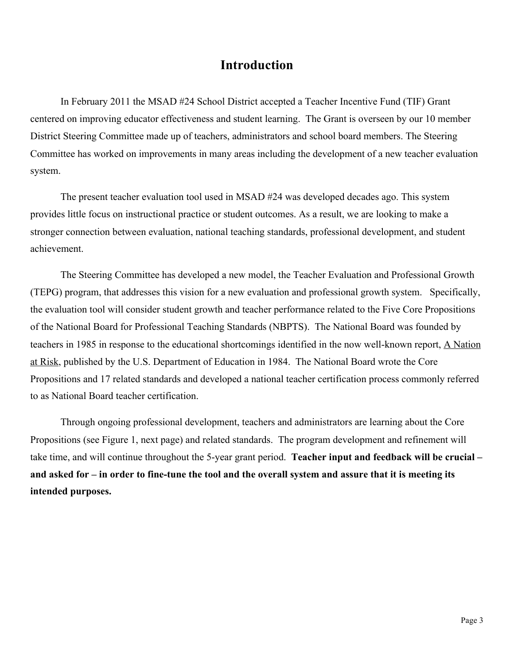### **Introduction**

In February 2011 the MSAD #24 School District accepted a Teacher Incentive Fund (TIF) Grant centered on improving educator effectiveness and student learning. The Grant is overseen by our 10 member District Steering Committee made up of teachers, administrators and school board members. The Steering Committee has worked on improvements in many areas including the development of a new teacher evaluation system.

The present teacher evaluation tool used in MSAD #24 was developed decades ago. This system provides little focus on instructional practice or student outcomes. As a result, we are looking to make a stronger connection between evaluation, national teaching standards, professional development, and student achievement.

The Steering Committee has developed a new model, the Teacher Evaluation and Professional Growth (TEPG) program, that addresses this vision for a new evaluation and professional growth system. Specifically, the evaluation tool will consider student growth and teacher performance related to the Five Core Propositions of the National Board for Professional Teaching Standards (NBPTS). The National Board was founded by teachers in 1985 in response to the educational shortcomings identified in the now well-known report, A Nation at Risk, published by the U.S. Department of Education in 1984. The National Board wrote the Core Propositions and 17 related standards and developed a national teacher certification process commonly referred to as National Board teacher certification.

Through ongoing professional development, teachers and administrators are learning about the Core Propositions (see Figure 1, next page) and related standards. The program development and refinement will take time, and will continue throughout the 5-year grant period. **Teacher input and feedback will be crucial – and asked for – in order to fine-tune the tool and the overall system and assure that it is meeting its intended purposes.**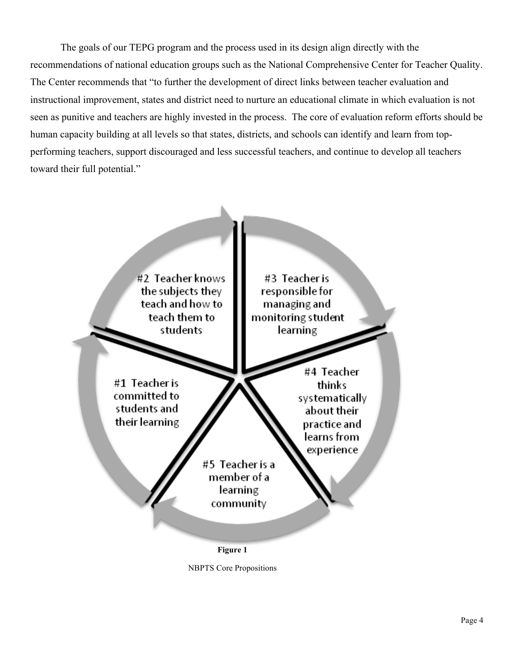The goals of our TEPG program and the process used in its design align directly with the recommendations of national education groups such as the National Comprehensive Center for Teacher Quality. The Center recommends that "to further the development of direct links between teacher evaluation and instructional improvement, states and district need to nurture an educational climate in which evaluation is not seen as punitive and teachers are highly invested in the process. The core of evaluation reform efforts should be human capacity building at all levels so that states, districts, and schools can identify and learn from topperforming teachers, support discouraged and less successful teachers, and continue to develop all teachers toward their full potential."



NBPTS Core Propositions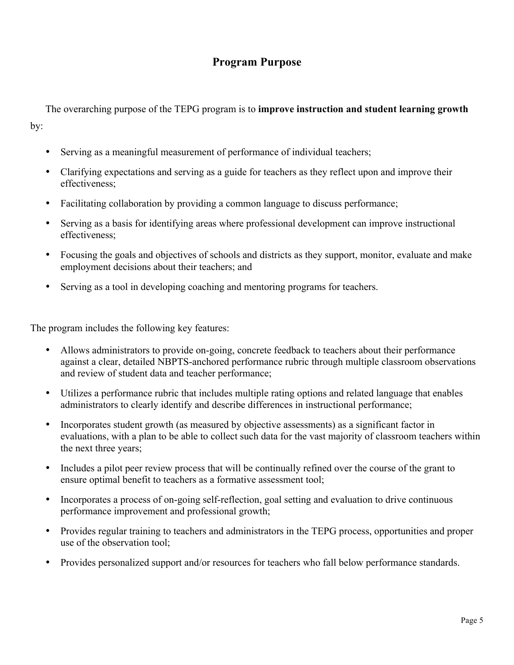## **Program Purpose**

The overarching purpose of the TEPG program is to **improve instruction and student learning growth** by:

- Serving as a meaningful measurement of performance of individual teachers;
- Clarifying expectations and serving as a guide for teachers as they reflect upon and improve their effectiveness;
- Facilitating collaboration by providing a common language to discuss performance;
- Serving as a basis for identifying areas where professional development can improve instructional effectiveness;
- Focusing the goals and objectives of schools and districts as they support, monitor, evaluate and make employment decisions about their teachers; and
- Serving as a tool in developing coaching and mentoring programs for teachers.

The program includes the following key features:

- Allows administrators to provide on-going, concrete feedback to teachers about their performance against a clear, detailed NBPTS-anchored performance rubric through multiple classroom observations and review of student data and teacher performance;
- Utilizes a performance rubric that includes multiple rating options and related language that enables administrators to clearly identify and describe differences in instructional performance;
- Incorporates student growth (as measured by objective assessments) as a significant factor in evaluations, with a plan to be able to collect such data for the vast majority of classroom teachers within the next three years;
- Includes a pilot peer review process that will be continually refined over the course of the grant to ensure optimal benefit to teachers as a formative assessment tool;
- Incorporates a process of on-going self-reflection, goal setting and evaluation to drive continuous performance improvement and professional growth;
- Provides regular training to teachers and administrators in the TEPG process, opportunities and proper use of the observation tool;
- Provides personalized support and/or resources for teachers who fall below performance standards.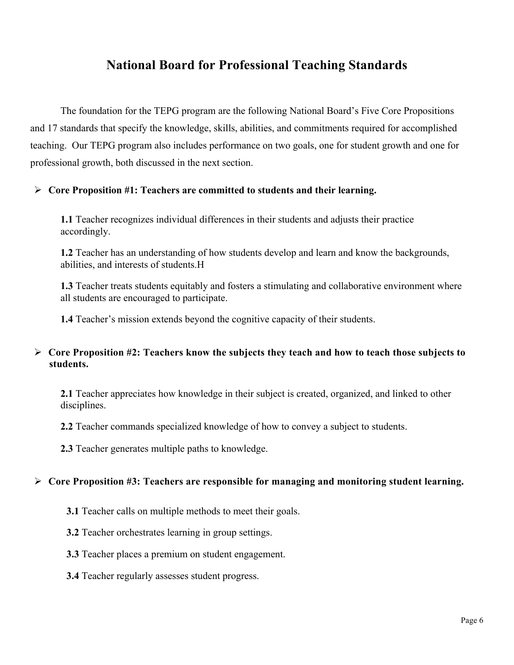## **National Board for Professional Teaching Standards**

The foundation for the TEPG program are the following National Board's Five Core Propositions and 17 standards that specify the knowledge, skills, abilities, and commitments required for accomplished teaching. Our TEPG program also includes performance on two goals, one for student growth and one for professional growth, both discussed in the next section.

#### **Core Proposition #1: Teachers are committed to students and their learning.**

**1.1** Teacher recognizes individual differences in their students and adjusts their practice accordingly.

**1.2** Teacher has an understanding of how students develop and learn and know the backgrounds, abilities, and interests of students.H

**1.3** Teacher treats students equitably and fosters a stimulating and collaborative environment where all students are encouraged to participate.

**1.4** Teacher's mission extends beyond the cognitive capacity of their students.

#### **Core Proposition #2: Teachers know the subjects they teach and how to teach those subjects to students.**

**2.1** Teacher appreciates how knowledge in their subject is created, organized, and linked to other disciplines.

**2.2** Teacher commands specialized knowledge of how to convey a subject to students.

**2.3** Teacher generates multiple paths to knowledge.

#### **Core Proposition #3: Teachers are responsible for managing and monitoring student learning.**

- **3.1** Teacher calls on multiple methods to meet their goals.
- **3.2** Teacher orchestrates learning in group settings.
- **3.3** Teacher places a premium on student engagement.
- **3.4** Teacher regularly assesses student progress.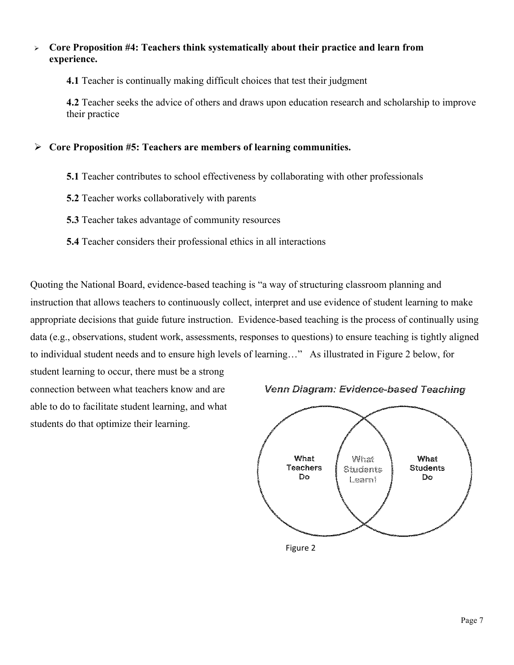#### **Core Proposition #4: Teachers think systematically about their practice and learn from experience.**

**4.1** Teacher is continually making difficult choices that test their judgment

**4.2** Teacher seeks the advice of others and draws upon education research and scholarship to improve their practice

#### **Core Proposition #5: Teachers are members of learning communities.**

- **5.1** Teacher contributes to school effectiveness by collaborating with other professionals
- **5.2** Teacher works collaboratively with parents
- **5.3** Teacher takes advantage of community resources
- **5.4** Teacher considers their professional ethics in all interactions

Quoting the National Board, evidence-based teaching is "a way of structuring classroom planning and instruction that allows teachers to continuously collect, interpret and use evidence of student learning to make appropriate decisions that guide future instruction. Evidence-based teaching is the process of continually using data (e.g., observations, student work, assessments, responses to questions) to ensure teaching is tightly aligned to individual student needs and to ensure high levels of learning…" As illustrated in Figure 2 below, for

student learning to occur, there must be a strong connection between what teachers know and are able to do to facilitate student learning, and what students do that optimize their learning.





Figure 2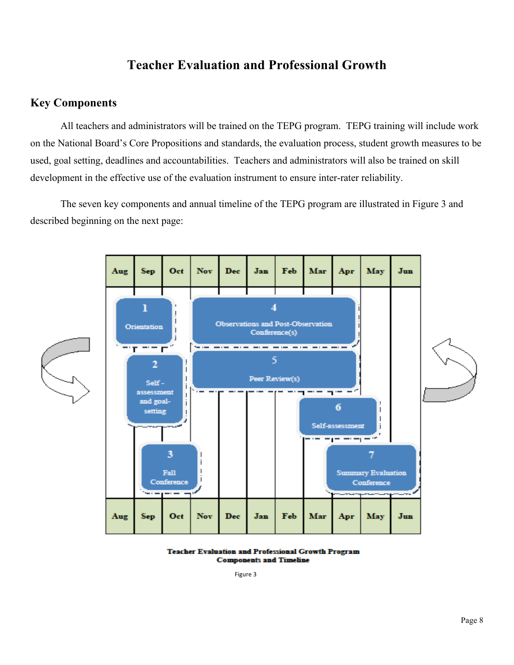## **Teacher Evaluation and Professional Growth**

#### **Key Components**

All teachers and administrators will be trained on the TEPG program. TEPG training will include work on the National Board's Core Propositions and standards, the evaluation process, student growth measures to be used, goal setting, deadlines and accountabilities. Teachers and administrators will also be trained on skill development in the effective use of the evaluation instrument to ensure inter-rater reliability.

The seven key components and annual timeline of the TEPG program are illustrated in Figure 3 and described beginning on the next page:



**Teacher Evaluation and Professional Growth Program Components and Timeline** 

Figure 3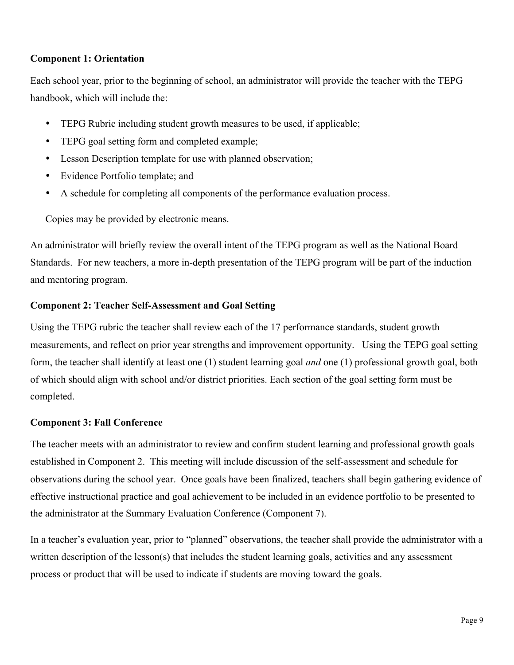#### **Component 1: Orientation**

Each school year, prior to the beginning of school, an administrator will provide the teacher with the TEPG handbook, which will include the:

- TEPG Rubric including student growth measures to be used, if applicable;
- TEPG goal setting form and completed example;
- Lesson Description template for use with planned observation;
- Evidence Portfolio template; and
- A schedule for completing all components of the performance evaluation process.

Copies may be provided by electronic means.

An administrator will briefly review the overall intent of the TEPG program as well as the National Board Standards. For new teachers, a more in-depth presentation of the TEPG program will be part of the induction and mentoring program.

#### **Component 2: Teacher Self-Assessment and Goal Setting**

Using the TEPG rubric the teacher shall review each of the 17 performance standards, student growth measurements, and reflect on prior year strengths and improvement opportunity. Using the TEPG goal setting form, the teacher shall identify at least one (1) student learning goal *and* one (1) professional growth goal, both of which should align with school and/or district priorities. Each section of the goal setting form must be completed.

#### **Component 3: Fall Conference**

The teacher meets with an administrator to review and confirm student learning and professional growth goals established in Component 2. This meeting will include discussion of the self-assessment and schedule for observations during the school year. Once goals have been finalized, teachers shall begin gathering evidence of effective instructional practice and goal achievement to be included in an evidence portfolio to be presented to the administrator at the Summary Evaluation Conference (Component 7).

In a teacher's evaluation year, prior to "planned" observations, the teacher shall provide the administrator with a written description of the lesson(s) that includes the student learning goals, activities and any assessment process or product that will be used to indicate if students are moving toward the goals.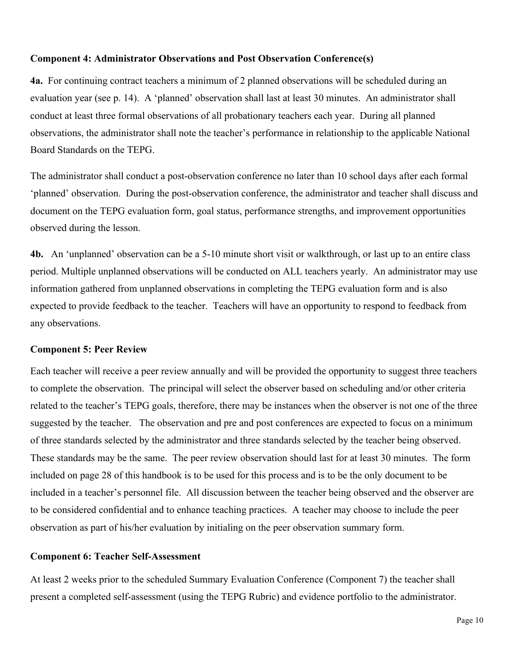#### **Component 4: Administrator Observations and Post Observation Conference(s)**

**4a.** For continuing contract teachers a minimum of 2 planned observations will be scheduled during an evaluation year (see p. 14). A 'planned' observation shall last at least 30 minutes. An administrator shall conduct at least three formal observations of all probationary teachers each year. During all planned observations, the administrator shall note the teacher's performance in relationship to the applicable National Board Standards on the TEPG.

The administrator shall conduct a post-observation conference no later than 10 school days after each formal 'planned' observation. During the post-observation conference, the administrator and teacher shall discuss and document on the TEPG evaluation form, goal status, performance strengths, and improvement opportunities observed during the lesson.

**4b.** An 'unplanned' observation can be a 5-10 minute short visit or walkthrough, or last up to an entire class period. Multiple unplanned observations will be conducted on ALL teachers yearly. An administrator may use information gathered from unplanned observations in completing the TEPG evaluation form and is also expected to provide feedback to the teacher. Teachers will have an opportunity to respond to feedback from any observations.

#### **Component 5: Peer Review**

Each teacher will receive a peer review annually and will be provided the opportunity to suggest three teachers to complete the observation. The principal will select the observer based on scheduling and/or other criteria related to the teacher's TEPG goals, therefore, there may be instances when the observer is not one of the three suggested by the teacher. The observation and pre and post conferences are expected to focus on a minimum of three standards selected by the administrator and three standards selected by the teacher being observed. These standards may be the same. The peer review observation should last for at least 30 minutes. The form included on page 28 of this handbook is to be used for this process and is to be the only document to be included in a teacher's personnel file. All discussion between the teacher being observed and the observer are to be considered confidential and to enhance teaching practices. A teacher may choose to include the peer observation as part of his/her evaluation by initialing on the peer observation summary form.

#### **Component 6: Teacher Self-Assessment**

At least 2 weeks prior to the scheduled Summary Evaluation Conference (Component 7) the teacher shall present a completed self-assessment (using the TEPG Rubric) and evidence portfolio to the administrator.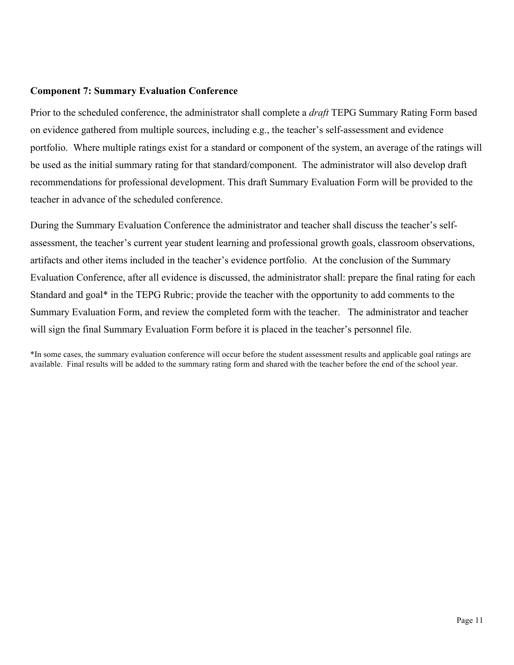#### **Component 7: Summary Evaluation Conference**

Prior to the scheduled conference, the administrator shall complete a *draft* TEPG Summary Rating Form based on evidence gathered from multiple sources, including e.g., the teacher's self-assessment and evidence portfolio. Where multiple ratings exist for a standard or component of the system, an average of the ratings will be used as the initial summary rating for that standard/component. The administrator will also develop draft recommendations for professional development. This draft Summary Evaluation Form will be provided to the teacher in advance of the scheduled conference.

During the Summary Evaluation Conference the administrator and teacher shall discuss the teacher's selfassessment, the teacher's current year student learning and professional growth goals, classroom observations, artifacts and other items included in the teacher's evidence portfolio. At the conclusion of the Summary Evaluation Conference, after all evidence is discussed, the administrator shall: prepare the final rating for each Standard and goal\* in the TEPG Rubric; provide the teacher with the opportunity to add comments to the Summary Evaluation Form, and review the completed form with the teacher. The administrator and teacher will sign the final Summary Evaluation Form before it is placed in the teacher's personnel file.

\*In some cases, the summary evaluation conference will occur before the student assessment results and applicable goal ratings are available. Final results will be added to the summary rating form and shared with the teacher before the end of the school year.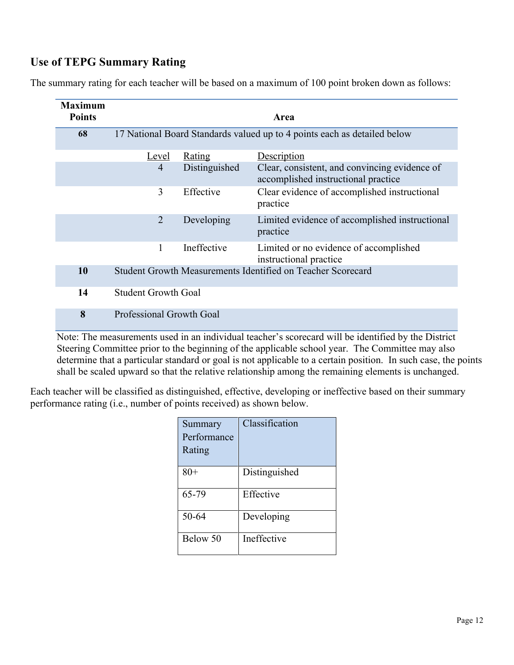## **Use of TEPG Summary Rating**

The summary rating for each teacher will be based on a maximum of 100 point broken down as follows:

| <b>Maximum</b><br><b>Points</b> |                                                                          |               | Area                                                                                 |
|---------------------------------|--------------------------------------------------------------------------|---------------|--------------------------------------------------------------------------------------|
| 68                              | 17 National Board Standards valued up to 4 points each as detailed below |               |                                                                                      |
|                                 | <u>Level</u>                                                             | <b>Rating</b> | Description                                                                          |
|                                 | $\overline{4}$                                                           | Distinguished | Clear, consistent, and convincing evidence of<br>accomplished instructional practice |
|                                 | 3                                                                        | Effective     | Clear evidence of accomplished instructional<br>practice                             |
|                                 | $\overline{2}$                                                           | Developing    | Limited evidence of accomplished instructional<br>practice                           |
|                                 | 1                                                                        | Ineffective   | Limited or no evidence of accomplished<br>instructional practice                     |
| 10                              |                                                                          |               | Student Growth Measurements Identified on Teacher Scorecard                          |
| 14                              | <b>Student Growth Goal</b>                                               |               |                                                                                      |
| 8                               | <b>Professional Growth Goal</b>                                          |               |                                                                                      |

Note: The measurements used in an individual teacher's scorecard will be identified by the District Steering Committee prior to the beginning of the applicable school year. The Committee may also determine that a particular standard or goal is not applicable to a certain position. In such case, the points shall be scaled upward so that the relative relationship among the remaining elements is unchanged.

Each teacher will be classified as distinguished, effective, developing or ineffective based on their summary performance rating (i.e., number of points received) as shown below.

| Summary<br>Performance<br>Rating | Classification |
|----------------------------------|----------------|
| $80+$                            | Distinguished  |
| 65-79                            | Effective      |
| 50-64                            | Developing     |
| Below 50                         | Ineffective    |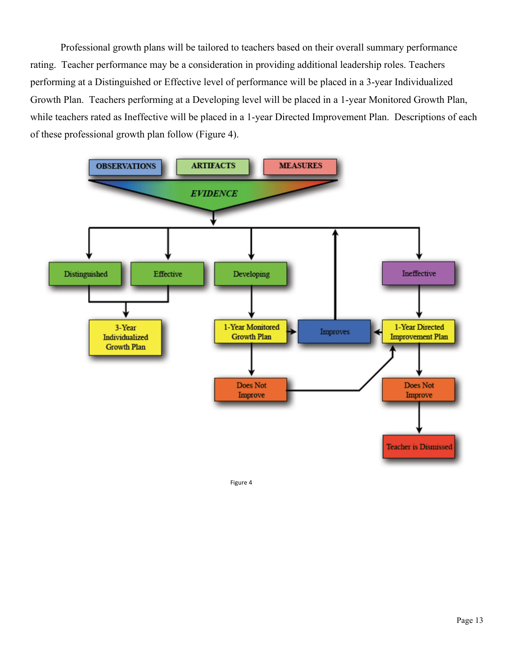Professional growth plans will be tailored to teachers based on their overall summary performance rating. Teacher performance may be a consideration in providing additional leadership roles. Teachers performing at a Distinguished or Effective level of performance will be placed in a 3-year Individualized Growth Plan. Teachers performing at a Developing level will be placed in a 1-year Monitored Growth Plan, while teachers rated as Ineffective will be placed in a 1-year Directed Improvement Plan. Descriptions of each of these professional growth plan follow (Figure 4).



Figure 4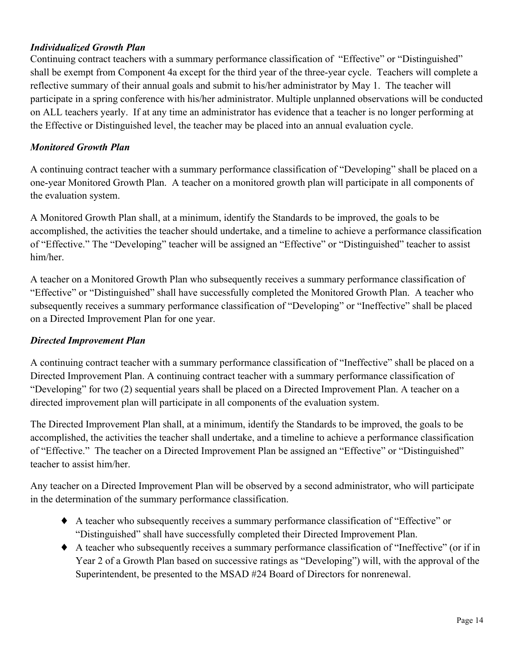#### *Individualized Growth Plan*

Continuing contract teachers with a summary performance classification of "Effective" or "Distinguished" shall be exempt from Component 4a except for the third year of the three-year cycle. Teachers will complete a reflective summary of their annual goals and submit to his/her administrator by May 1. The teacher will participate in a spring conference with his/her administrator. Multiple unplanned observations will be conducted on ALL teachers yearly. If at any time an administrator has evidence that a teacher is no longer performing at the Effective or Distinguished level, the teacher may be placed into an annual evaluation cycle.

#### *Monitored Growth Plan*

A continuing contract teacher with a summary performance classification of "Developing" shall be placed on a one-year Monitored Growth Plan. A teacher on a monitored growth plan will participate in all components of the evaluation system.

A Monitored Growth Plan shall, at a minimum, identify the Standards to be improved, the goals to be accomplished, the activities the teacher should undertake, and a timeline to achieve a performance classification of "Effective." The "Developing" teacher will be assigned an "Effective" or "Distinguished" teacher to assist him/her.

A teacher on a Monitored Growth Plan who subsequently receives a summary performance classification of "Effective" or "Distinguished" shall have successfully completed the Monitored Growth Plan. A teacher who subsequently receives a summary performance classification of "Developing" or "Ineffective" shall be placed on a Directed Improvement Plan for one year.

#### *Directed Improvement Plan*

A continuing contract teacher with a summary performance classification of "Ineffective" shall be placed on a Directed Improvement Plan. A continuing contract teacher with a summary performance classification of "Developing" for two (2) sequential years shall be placed on a Directed Improvement Plan. A teacher on a directed improvement plan will participate in all components of the evaluation system.

The Directed Improvement Plan shall, at a minimum, identify the Standards to be improved, the goals to be accomplished, the activities the teacher shall undertake, and a timeline to achieve a performance classification of "Effective." The teacher on a Directed Improvement Plan be assigned an "Effective" or "Distinguished" teacher to assist him/her.

Any teacher on a Directed Improvement Plan will be observed by a second administrator, who will participate in the determination of the summary performance classification.

- ♦ A teacher who subsequently receives a summary performance classification of "Effective" or "Distinguished" shall have successfully completed their Directed Improvement Plan.
- ♦ A teacher who subsequently receives a summary performance classification of "Ineffective" (or if in Year 2 of a Growth Plan based on successive ratings as "Developing") will, with the approval of the Superintendent, be presented to the MSAD #24 Board of Directors for nonrenewal.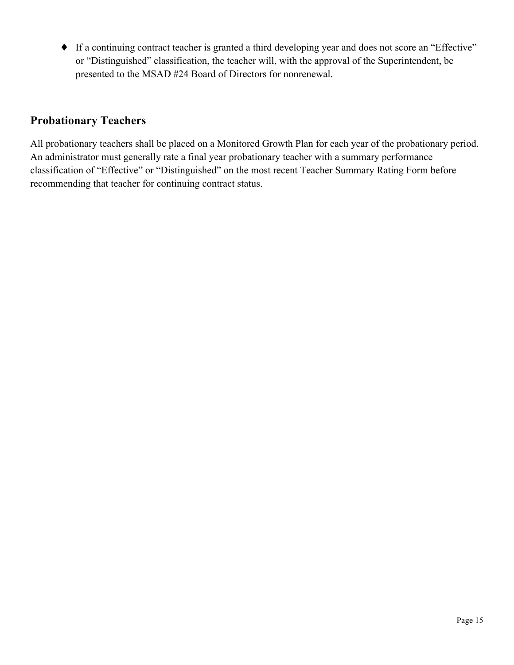♦ If a continuing contract teacher is granted a third developing year and does not score an "Effective" or "Distinguished" classification, the teacher will, with the approval of the Superintendent, be presented to the MSAD #24 Board of Directors for nonrenewal.

## **Probationary Teachers**

All probationary teachers shall be placed on a Monitored Growth Plan for each year of the probationary period. An administrator must generally rate a final year probationary teacher with a summary performance classification of "Effective" or "Distinguished" on the most recent Teacher Summary Rating Form before recommending that teacher for continuing contract status.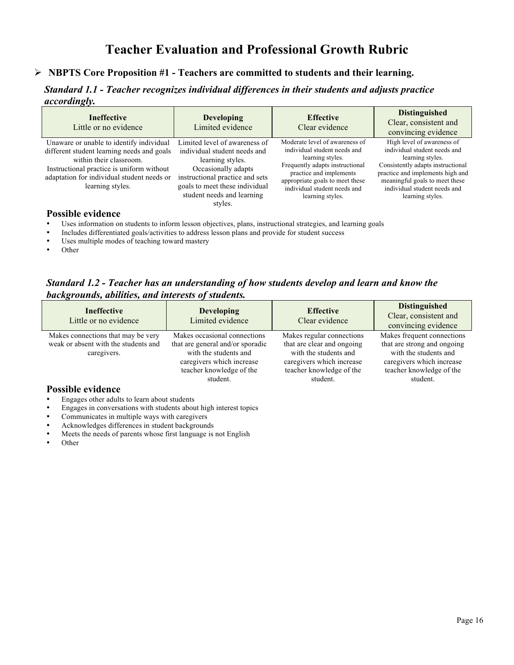## **Teacher Evaluation and Professional Growth Rubric**

#### **NBPTS Core Proposition #1 - Teachers are committed to students and their learning.**

*Standard 1.1 - Teacher recognizes individual differences in their students and adjusts practice accordingly.*

| <b>Ineffective</b><br>Little or no evidence                                                                                                                                                                                      | <b>Developing</b><br>Limited evidence                                                                                                                                                                                  | <b>Effective</b><br>Clear evidence                                                                                                                                                                                                      | <b>Distinguished</b><br>Clear, consistent and<br>convincing evidence                                                                                                                                                                          |
|----------------------------------------------------------------------------------------------------------------------------------------------------------------------------------------------------------------------------------|------------------------------------------------------------------------------------------------------------------------------------------------------------------------------------------------------------------------|-----------------------------------------------------------------------------------------------------------------------------------------------------------------------------------------------------------------------------------------|-----------------------------------------------------------------------------------------------------------------------------------------------------------------------------------------------------------------------------------------------|
| Unaware or unable to identify individual<br>different student learning needs and goals<br>within their classroom.<br>Instructional practice is uniform without<br>adaptation for individual student needs or<br>learning styles. | Limited level of awareness of<br>individual student needs and<br>learning styles.<br>Occasionally adapts<br>instructional practice and sets<br>goals to meet these individual<br>student needs and learning<br>styles. | Moderate level of awareness of<br>individual student needs and<br>learning styles.<br>Frequently adapts instructional<br>practice and implements<br>appropriate goals to meet these<br>individual student needs and<br>learning styles. | High level of awareness of<br>individual student needs and<br>learning styles.<br>Consistently adapts instructional<br>practice and implements high and<br>meaningful goals to meet these<br>individual student needs and<br>learning styles. |

- Uses information on students to inform lesson objectives, plans, instructional strategies, and learning goals
- Includes differentiated goals/activities to address lesson plans and provide for student success
- Uses multiple modes of teaching toward mastery
- Other

*Standard 1.2 - Teacher has an understanding of how students develop and learn and know the backgrounds, abilities, and interests of students.*

| <b>Ineffective</b><br>Little or no evidence                                                                           | <b>Developing</b><br>Limited evidence                                                                                                                          | <b>Effective</b><br>Clear evidence                                                                                                                    | <b>Distinguished</b><br>Clear, consistent and<br>convincing evidence                                                                                    |
|-----------------------------------------------------------------------------------------------------------------------|----------------------------------------------------------------------------------------------------------------------------------------------------------------|-------------------------------------------------------------------------------------------------------------------------------------------------------|---------------------------------------------------------------------------------------------------------------------------------------------------------|
| Makes connections that may be very<br>weak or absent with the students and<br>caregivers.<br><b>Possible evidence</b> | Makes occasional connections<br>that are general and/or sporadic<br>with the students and<br>caregivers which increase<br>teacher knowledge of the<br>student. | Makes regular connections<br>that are clear and ongoing<br>with the students and<br>caregivers which increase<br>teacher knowledge of the<br>student. | Makes frequent connections<br>that are strong and ongoing<br>with the students and<br>caregivers which increase<br>teacher knowledge of the<br>student. |

- Engages other adults to learn about students
- Engages in conversations with students about high interest topics
- Communicates in multiple ways with caregivers
- Acknowledges differences in student backgrounds
- Meets the needs of parents whose first language is not English
- Other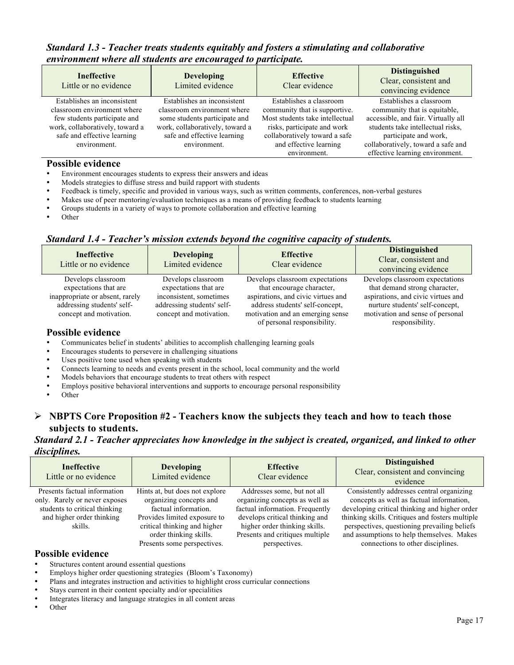#### *Standard 1.3 - Teacher treats students equitably and fosters a stimulating and collaborative environment where all students are encouraged to participate.*

| <b>Ineffective</b><br>Little or no evidence                                                                                                                                  | <b>Developing</b><br>Limited evidence                                                                                                                                         | <b>Effective</b><br>Clear evidence                                                                                                                                                                    | <b>Distinguished</b><br>Clear, consistent and<br>convincing evidence                                                                                                                                                                  |
|------------------------------------------------------------------------------------------------------------------------------------------------------------------------------|-------------------------------------------------------------------------------------------------------------------------------------------------------------------------------|-------------------------------------------------------------------------------------------------------------------------------------------------------------------------------------------------------|---------------------------------------------------------------------------------------------------------------------------------------------------------------------------------------------------------------------------------------|
| Establishes an inconsistent<br>classroom environment where<br>few students participate and<br>work, collaboratively, toward a<br>safe and effective learning<br>environment. | Establishes an inconsistent<br>classroom environment where<br>some students participate and<br>work, collaboratively, toward a<br>safe and effective learning<br>environment. | Establishes a classroom<br>community that is supportive.<br>Most students take intellectual<br>risks, participate and work<br>collaboratively toward a safe<br>and effective learning<br>environment. | Establishes a classroom<br>community that is equitable,<br>accessible, and fair. Virtually all<br>students take intellectual risks,<br>participate and work,<br>collaboratively, toward a safe and<br>effective learning environment. |

#### **Possible evidence**

- Environment encourages students to express their answers and ideas
- Models strategies to diffuse stress and build rapport with students
- Feedback is timely, specific and provided in various ways, such as written comments, conferences, non-verbal gestures
- Makes use of peer mentoring/evaluation techniques as a means of providing feedback to students learning
- Groups students in a variety of ways to promote collaboration and effective learning
- Other

#### *Standard 1.4 - Teacher's mission extends beyond the cognitive capacity of students.*

| <b>Ineffective</b><br>Little or no evidence                                                                                             | <b>Developing</b><br>Limited evidence                                                                                           | <b>Effective</b><br>Clear evidence                                                                                                                                                                       | <b>Distinguished</b><br>Clear, consistent and<br>convincing evidence                                                                                                                             |
|-----------------------------------------------------------------------------------------------------------------------------------------|---------------------------------------------------------------------------------------------------------------------------------|----------------------------------------------------------------------------------------------------------------------------------------------------------------------------------------------------------|--------------------------------------------------------------------------------------------------------------------------------------------------------------------------------------------------|
| Develops classroom<br>expectations that are<br>inappropriate or absent, rarely<br>addressing students' self-<br>concept and motivation. | Develops classroom<br>expectations that are<br>inconsistent, sometimes<br>addressing students' self-<br>concept and motivation. | Develops classroom expectations<br>that encourage character,<br>aspirations, and civic virtues and<br>address students' self-concept,<br>motivation and an emerging sense<br>of personal responsibility. | Develops classroom expectations<br>that demand strong character,<br>aspirations, and civic virtues and<br>nurture students' self-concept,<br>motivation and sense of personal<br>responsibility. |

#### **Possible evidence**

- Communicates belief in students' abilities to accomplish challenging learning goals
- Encourages students to persevere in challenging situations
- Uses positive tone used when speaking with students
- Connects learning to needs and events present in the school, local community and the world
- Models behaviors that encourage students to treat others with respect
- Employs positive behavioral interventions and supports to encourage personal responsibility
- Other

#### **NBPTS Core Proposition #2 - Teachers know the subjects they teach and how to teach those subjects to students.**

#### *Standard 2.1 - Teacher appreciates how knowledge in the subject is created, organized, and linked to other disciplines.*

| <b>Ineffective</b><br>Little or no evidence                           | <b>Developing</b><br>Limited evidence                                                                                                         | <b>Effective</b><br>Clear evidence                                                                                                                     | <b>Distinguished</b><br>Clear, consistent and convincing<br>evidence                                                                                                                                                               |
|-----------------------------------------------------------------------|-----------------------------------------------------------------------------------------------------------------------------------------------|--------------------------------------------------------------------------------------------------------------------------------------------------------|------------------------------------------------------------------------------------------------------------------------------------------------------------------------------------------------------------------------------------|
| Presents factual information<br>only. Rarely or never exposes         | Hints at, but does not explore<br>organizing concepts and                                                                                     | Addresses some, but not all<br>organizing concepts as well as                                                                                          | Consistently addresses central organizing<br>concepts as well as factual information,                                                                                                                                              |
| students to critical thinking<br>and higher order thinking<br>skills. | factual information.<br>Provides limited exposure to<br>critical thinking and higher<br>order thinking skills.<br>Presents some perspectives. | factual information. Frequently<br>develops critical thinking and<br>higher order thinking skills.<br>Presents and critiques multiple<br>perspectives. | developing critical thinking and higher order<br>thinking skills. Critiques and fosters multiple<br>perspectives, questioning prevailing beliefs<br>and assumptions to help themselves. Makes<br>connections to other disciplines. |

#### **Possible evidence**

Structures content around essential questions

- Employs higher order questioning strategies (Bloom's Taxonomy)
- Plans and integrates instruction and activities to highlight cross curricular connections<br>• Stavs current in their content specialty and/or specialities
- Stays current in their content specialty and/or specialities
- Integrates literacy and language strategies in all content areas
- Other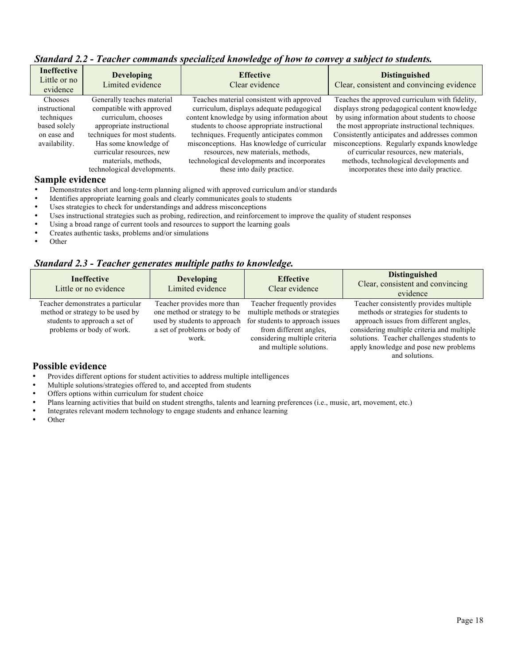|                                                                                                          | $\epsilon$                                                                                                                                                     |                                                                                                                                                                              |
|----------------------------------------------------------------------------------------------------------|----------------------------------------------------------------------------------------------------------------------------------------------------------------|------------------------------------------------------------------------------------------------------------------------------------------------------------------------------|
| <b>Developing</b><br>Limited evidence                                                                    | <b>Effective</b><br>Clear evidence                                                                                                                             | <b>Distinguished</b><br>Clear, consistent and convincing evidence                                                                                                            |
| Generally teaches material                                                                               | Teaches material consistent with approved                                                                                                                      | Teaches the approved curriculum with fidelity,                                                                                                                               |
| compatible with approved                                                                                 | curriculum, displays adequate pedagogical                                                                                                                      | displays strong pedagogical content knowledge                                                                                                                                |
|                                                                                                          |                                                                                                                                                                | by using information about students to choose                                                                                                                                |
| appropriate instructional                                                                                | students to choose appropriate instructional                                                                                                                   | the most appropriate instructional techniques.                                                                                                                               |
| techniques for most students.                                                                            | techniques. Frequently anticipates common                                                                                                                      | Consistently anticipates and addresses common                                                                                                                                |
| Has some knowledge of<br>curricular resources, new<br>materials, methods,<br>technological developments. | misconceptions. Has knowledge of curricular<br>resources, new materials, methods,<br>technological developments and incorporates<br>these into daily practice. | misconceptions. Regularly expands knowledge<br>of curricular resources, new materials,<br>methods, technological developments and<br>incorporates these into daily practice. |
|                                                                                                          | <b>Ineffective</b><br>Little or no<br>curriculum, chooses                                                                                                      | content knowledge by using information about                                                                                                                                 |

#### *Standard 2.2 - Teacher commands specialized knowledge of how to convey a subject to students.*

#### **Sample evidence**

- Demonstrates short and long-term planning aligned with approved curriculum and/or standards
- Identifies appropriate learning goals and clearly communicates goals to students
- Uses strategies to check for understandings and address misconceptions
- Uses instructional strategies such as probing, redirection, and reinforcement to improve the quality of student responses<br>• Using a broad range of current tools and resources to support the learning goals
- Using a broad range of current tools and resources to support the learning goals
- Creates authentic tasks, problems and/or simulations
- Other

#### *Standard 2.3 - Teacher generates multiple paths to knowledge.*

| <b>Ineffective</b><br>Little or no evidence                                                                                         | <b>Developing</b><br>Limited evidence                                                                                               | <b>Effective</b><br>Clear evidence                                                                                                                                                     | <b>Distinguished</b><br>Clear, consistent and convincing<br>evidence                                                                                                                                                                                                            |
|-------------------------------------------------------------------------------------------------------------------------------------|-------------------------------------------------------------------------------------------------------------------------------------|----------------------------------------------------------------------------------------------------------------------------------------------------------------------------------------|---------------------------------------------------------------------------------------------------------------------------------------------------------------------------------------------------------------------------------------------------------------------------------|
| Teacher demonstrates a particular<br>method or strategy to be used by<br>students to approach a set of<br>problems or body of work. | Teacher provides more than<br>one method or strategy to be<br>used by students to approach<br>a set of problems or body of<br>work. | Teacher frequently provides<br>multiple methods or strategies<br>for students to approach issues<br>from different angles.<br>considering multiple criteria<br>and multiple solutions. | Teacher consistently provides multiple<br>methods or strategies for students to<br>approach issues from different angles,<br>considering multiple criteria and multiple<br>solutions. Teacher challenges students to<br>apply knowledge and pose new problems<br>and solutions. |

- Provides different options for student activities to address multiple intelligences
- Multiple solutions/strategies offered to, and accepted from students
- Offers options within curriculum for student choice
- Plans learning activities that build on student strengths, talents and learning preferences (i.e., music, art, movement, etc.)
- Integrates relevant modern technology to engage students and enhance learning<br>
Other
- Other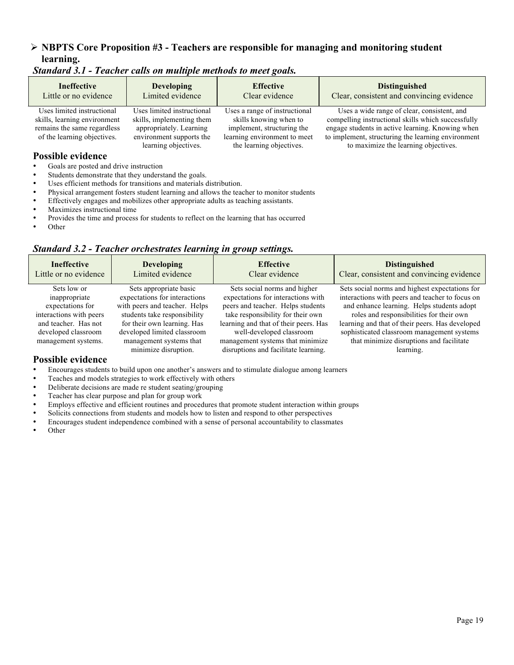#### **NBPTS Core Proposition #3 - Teachers are responsible for managing and monitoring student learning.**

| <b>Ineffective</b><br>Little or no evidence                                                                              | <b>Developing</b><br>Limited evidence                                                                                                  | <b>Effective</b><br>Clear evidence                                                                                                                | <b>Distinguished</b><br>Clear, consistent and convincing evidence                                                                                                                                                                                   |
|--------------------------------------------------------------------------------------------------------------------------|----------------------------------------------------------------------------------------------------------------------------------------|---------------------------------------------------------------------------------------------------------------------------------------------------|-----------------------------------------------------------------------------------------------------------------------------------------------------------------------------------------------------------------------------------------------------|
| Uses limited instructional<br>skills, learning environment<br>remains the same regardless<br>of the learning objectives. | Uses limited instructional<br>skills, implementing them<br>appropriately. Learning<br>environment supports the<br>learning objectives. | Uses a range of instructional<br>skills knowing when to<br>implement, structuring the<br>learning environment to meet<br>the learning objectives. | Uses a wide range of clear, consistent, and<br>compelling instructional skills which successfully<br>engage students in active learning. Knowing when<br>to implement, structuring the learning environment<br>to maximize the learning objectives. |
| <b>Possible evidence</b>                                                                                                 |                                                                                                                                        |                                                                                                                                                   |                                                                                                                                                                                                                                                     |

*Standard 3.1 - Teacher calls on multiple methods to meet goals.*

- Goals are posted and drive instruction
- Students demonstrate that they understand the goals.
- Uses efficient methods for transitions and materials distribution.
- Physical arrangement fosters student learning and allows the teacher to monitor students
- Effectively engages and mobilizes other appropriate adults as teaching assistants.
- Maximizes instructional time
- Provides the time and process for students to reflect on the learning that has occurred
- Other

#### *Standard 3.2 - Teacher orchestrates learning in group settings.*

| <b>Ineffective</b>      | <b>Developing</b>             | <b>Effective</b>                      | <b>Distinguished</b>                            |
|-------------------------|-------------------------------|---------------------------------------|-------------------------------------------------|
| Little or no evidence   | Limited evidence              | Clear evidence                        | Clear, consistent and convincing evidence       |
| Sets low or             | Sets appropriate basic        | Sets social norms and higher          | Sets social norms and highest expectations for  |
| inappropriate           | expectations for interactions | expectations for interactions with    | interactions with peers and teacher to focus on |
| expectations for        | with peers and teacher. Helps | peers and teacher. Helps students     | and enhance learning. Helps students adopt      |
| interactions with peers | students take responsibility  | take responsibility for their own     | roles and responsibilities for their own        |
| and teacher. Has not    | for their own learning. Has   | learning and that of their peers. Has | learning and that of their peers. Has developed |
| developed classroom     | developed limited classroom   | well-developed classroom              | sophisticated classroom management systems      |
| management systems.     | management systems that       | management systems that minimize      | that minimize disruptions and facilitate        |
|                         | minimize disruption.          | disruptions and facilitate learning.  | learning.                                       |

- Encourages students to build upon one another's answers and to stimulate dialogue among learners
- Teaches and models strategies to work effectively with others
- Deliberate decisions are made re student seating/grouping
- Teacher has clear purpose and plan for group work
- Employs effective and efficient routines and procedures that promote student interaction within groups
- Solicits connections from students and models how to listen and respond to other perspectives
- Encourages student independence combined with a sense of personal accountability to classmates
- Other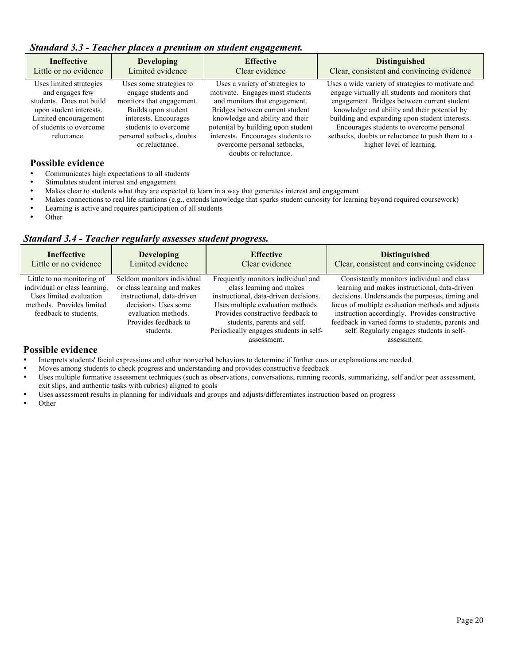#### *Standard 3.3 - Teacher places a premium on student engagement.*

| <b>Ineffective</b><br>Little or no evidence                                                                                                                          | <b>Developing</b><br>Limited evidence                                                                                                                                                              | <b>Effective</b><br>Clear evidence                                                                                                                                                                                                                                                                           | <b>Distinguished</b><br>Clear, consistent and convincing evidence                                                                                                                                                                                                                                                                                                                  |
|----------------------------------------------------------------------------------------------------------------------------------------------------------------------|----------------------------------------------------------------------------------------------------------------------------------------------------------------------------------------------------|--------------------------------------------------------------------------------------------------------------------------------------------------------------------------------------------------------------------------------------------------------------------------------------------------------------|------------------------------------------------------------------------------------------------------------------------------------------------------------------------------------------------------------------------------------------------------------------------------------------------------------------------------------------------------------------------------------|
| Uses limited strategies<br>and engages few<br>students. Does not build<br>upon student interests.<br>Limited encouragement<br>of students to overcome<br>reluctance. | Uses some strategies to<br>engage students and<br>monitors that engagement.<br>Builds upon student<br>interests. Encourages<br>students to overcome<br>personal setbacks, doubts<br>or reluctance. | Uses a variety of strategies to<br>motivate. Engages most students<br>and monitors that engagement.<br>Bridges between current student<br>knowledge and ability and their<br>potential by building upon student<br>interests. Encourages students to<br>overcome personal setbacks,<br>doubts or reluctance. | Uses a wide variety of strategies to motivate and<br>engage virtually all students and monitors that<br>engagement. Bridges between current student<br>knowledge and ability and their potential by<br>building and expanding upon student interests.<br>Encourages students to overcome personal<br>setbacks, doubts or reluctance to push them to a<br>higher level of learning. |

#### **Possible evidence**

- Communicates high expectations to all students<br>• Stimulates student interest and engagement
- Stimulates student interest and engagement<br>• Makes clear to students what they are expected.
- Makes clear to students what they are expected to learn in a way that generates interest and engagement Makes connections to real life situations (e.g. extends knowledge that sparks student curiosity for learni
- Makes connections to real life situations (e.g., extends knowledge that sparks student curiosity for learning beyond required coursework)<br>• Learning is active and requires participation of all students
- Learning is active and requires participation of all students<br>
Other
- Other

#### *Standard 3.4 - Teacher regularly assesses student progress.*

| <b>Ineffective</b>                                                                                                                           | <b>Developing</b>                                                                                                                                                           | <b>Effective</b>                                                                                                                                                                                                                                                          | <b>Distinguished</b>                                                                                                                                                                                                                                                                                                                                                  |
|----------------------------------------------------------------------------------------------------------------------------------------------|-----------------------------------------------------------------------------------------------------------------------------------------------------------------------------|---------------------------------------------------------------------------------------------------------------------------------------------------------------------------------------------------------------------------------------------------------------------------|-----------------------------------------------------------------------------------------------------------------------------------------------------------------------------------------------------------------------------------------------------------------------------------------------------------------------------------------------------------------------|
| Little or no evidence                                                                                                                        | Limited evidence                                                                                                                                                            | Clear evidence                                                                                                                                                                                                                                                            | Clear, consistent and convincing evidence                                                                                                                                                                                                                                                                                                                             |
| Little to no monitoring of<br>individual or class learning.<br>Uses limited evaluation<br>methods. Provides limited<br>feedback to students. | Seldom monitors individual<br>or class learning and makes<br>instructional, data-driven<br>decisions. Uses some<br>evaluation methods.<br>Provides feedback to<br>students. | Frequently monitors individual and<br>class learning and makes<br>instructional, data-driven decisions.<br>Uses multiple evaluation methods.<br>Provides constructive feedback to<br>students, parents and self.<br>Periodically engages students in self-<br>assessment. | Consistently monitors individual and class<br>learning and makes instructional, data-driven<br>decisions. Understands the purposes, timing and<br>focus of multiple evaluation methods and adjusts<br>instruction accordingly. Provides constructive<br>feedback in varied forms to students, parents and<br>self. Regularly engages students in self-<br>assessment. |

- Interprets students' facial expressions and other nonverbal behaviors to determine if further cues or explanations are needed.<br>• Moves among students to check progress and understanding and provides constructive feedback
- Moves among students to check progress and understanding and provides constructive feedback<br>• Uses multiple formative assessment techniques (such as observations conversations running rec
- Uses multiple formative assessment techniques (such as observations, conversations, running records, summarizing, self and/or peer assessment, exit slips, and authentic tasks with rubrics) aligned to goals
- Uses assessment results in planning for individuals and groups and adjusts/differentiates instruction based on progress
- Other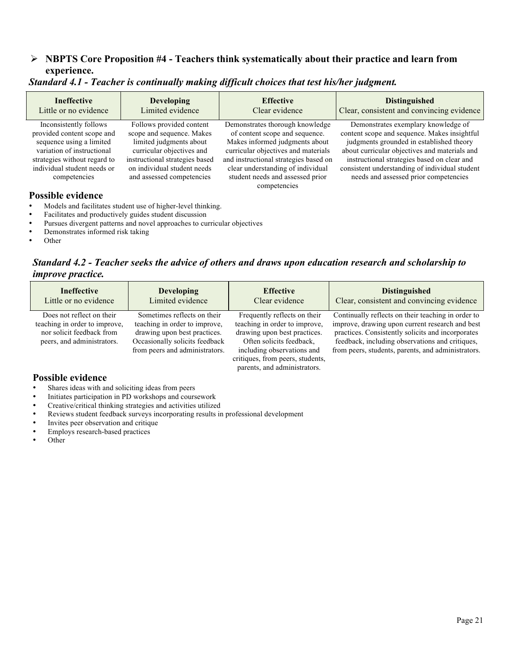#### **NBPTS Core Proposition #4 - Teachers think systematically about their practice and learn from experience.**

| <b>Ineffective</b>                                                                                                                                                                                                        | <b>Developing</b>                                                                                                                                                                                           | <b>Effective</b>                                                                                                                                                                                                                                                             | <b>Distinguished</b>                                                                                                                                                                                                                                                                                                       |
|---------------------------------------------------------------------------------------------------------------------------------------------------------------------------------------------------------------------------|-------------------------------------------------------------------------------------------------------------------------------------------------------------------------------------------------------------|------------------------------------------------------------------------------------------------------------------------------------------------------------------------------------------------------------------------------------------------------------------------------|----------------------------------------------------------------------------------------------------------------------------------------------------------------------------------------------------------------------------------------------------------------------------------------------------------------------------|
| Little or no evidence                                                                                                                                                                                                     | Limited evidence                                                                                                                                                                                            | Clear evidence                                                                                                                                                                                                                                                               | Clear, consistent and convincing evidence                                                                                                                                                                                                                                                                                  |
| Inconsistently follows<br>provided content scope and<br>sequence using a limited<br>variation of instructional<br>strategies without regard to<br>individual student needs or<br>competencies<br><b>Possible evidence</b> | Follows provided content<br>scope and sequence. Makes<br>limited judgments about<br>curricular objectives and<br>instructional strategies based<br>on individual student needs<br>and assessed competencies | Demonstrates thorough knowledge<br>of content scope and sequence.<br>Makes informed judgments about<br>curricular objectives and materials<br>and instructional strategies based on<br>clear understanding of individual<br>student needs and assessed prior<br>competencies | Demonstrates exemplary knowledge of<br>content scope and sequence. Makes insightful<br>judgments grounded in established theory<br>about curricular objectives and materials and<br>instructional strategies based on clear and<br>consistent understanding of individual student<br>needs and assessed prior competencies |

#### *Standard 4.1 - Teacher is continually making difficult choices that test his/her judgment.*

- Models and facilitates student use of higher-level thinking.
- Facilitates and productively guides student discussion
- Pursues divergent patterns and novel approaches to curricular objectives
- Demonstrates informed risk taking
- Other

*Standard 4.2 - Teacher seeks the advice of others and draws upon education research and scholarship to improve practice.*

| <b>Ineffective</b>                                                                                                    | <b>Developing</b>                                                                                                                                                | <b>Effective</b>                                                                                                                                                                                                            | <b>Distinguished</b>                                                                                                                                                                                                                                                |
|-----------------------------------------------------------------------------------------------------------------------|------------------------------------------------------------------------------------------------------------------------------------------------------------------|-----------------------------------------------------------------------------------------------------------------------------------------------------------------------------------------------------------------------------|---------------------------------------------------------------------------------------------------------------------------------------------------------------------------------------------------------------------------------------------------------------------|
| Little or no evidence                                                                                                 | Limited evidence                                                                                                                                                 | Clear evidence                                                                                                                                                                                                              | Clear, consistent and convincing evidence                                                                                                                                                                                                                           |
| Does not reflect on their<br>teaching in order to improve.<br>nor solicit feedback from<br>peers, and administrators. | Sometimes reflects on their<br>teaching in order to improve.<br>drawing upon best practices.<br>Occasionally solicits feedback<br>from peers and administrators. | Frequently reflects on their<br>teaching in order to improve,<br>drawing upon best practices.<br>Often solicits feedback.<br>including observations and<br>critiques, from peers, students,<br>parents, and administrators. | Continually reflects on their teaching in order to<br>improve, drawing upon current research and best<br>practices. Consistently solicits and incorporates<br>feedback, including observations and critiques,<br>from peers, students, parents, and administrators. |

- Shares ideas with and soliciting ideas from peers
- Initiates participation in PD workshops and coursework
- Creative/critical thinking strategies and activities utilized
- Reviews student feedback surveys incorporating results in professional development
- Invites peer observation and critique
- Employs research-based practices
- Other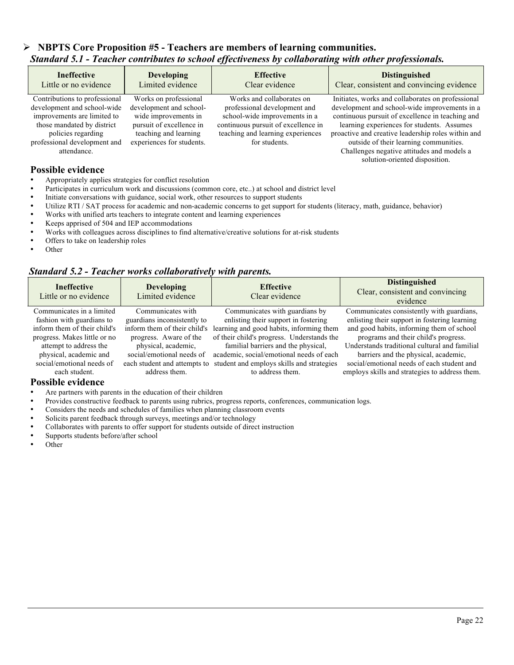#### **NBPTS Core Proposition #5 - Teachers are members of learning communities.** *Standard 5.1 - Teacher contributes to school effectiveness by collaborating with other professionals.*

| <b>Ineffective</b>                                                                                                                                                                             | <b>Developing</b>                                                                                                                                          | <b>Effective</b>                                                                                                                                                                        | <b>Distinguished</b>                                                                                                                                                                                                                                                                                                                                                                 |
|------------------------------------------------------------------------------------------------------------------------------------------------------------------------------------------------|------------------------------------------------------------------------------------------------------------------------------------------------------------|-----------------------------------------------------------------------------------------------------------------------------------------------------------------------------------------|--------------------------------------------------------------------------------------------------------------------------------------------------------------------------------------------------------------------------------------------------------------------------------------------------------------------------------------------------------------------------------------|
| Little or no evidence                                                                                                                                                                          | Limited evidence                                                                                                                                           | Clear evidence                                                                                                                                                                          | Clear, consistent and convincing evidence                                                                                                                                                                                                                                                                                                                                            |
| Contributions to professional<br>development and school-wide<br>improvements are limited to<br>those mandated by district<br>policies regarding<br>professional development and<br>attendance. | Works on professional<br>development and school-<br>wide improvements in<br>pursuit of excellence in<br>teaching and learning<br>experiences for students. | Works and collaborates on<br>professional development and<br>school-wide improvements in a<br>continuous pursuit of excellence in<br>teaching and learning experiences<br>for students. | Initiates, works and collaborates on professional<br>development and school-wide improvements in a<br>continuous pursuit of excellence in teaching and<br>learning experiences for students. Assumes<br>proactive and creative leadership roles within and<br>outside of their learning communities.<br>Challenges negative attitudes and models a<br>solution-oriented disposition. |

#### **Possible evidence**

- Appropriately applies strategies for conflict resolution
- Participates in curriculum work and discussions (common core, etc...) at school and district level<br>• Initiate conversations with quidance, social work, other recourses to support students
- Initiate conversations with guidance, social work, other resources to support students
- Utilize RTI / SAT process for academic and non-academic concerns to get support for students (literacy, math, guidance, behavior)
- Works with unified arts teachers to integrate content and learning experiences
- Keeps apprised of 504 and IEP accommodations
- Works with colleagues across disciplines to find alternative/creative solutions for at-risk students
- Offers to take on leadership roles<br>• Other
- Other

#### *Standard 5.2 - Teacher works collaboratively with parents.*

| <b>Ineffective</b><br>Little or no evidence | <b>Developing</b><br>Limited evidence | <b>Effective</b><br>Clear evidence         | <b>Distinguished</b><br>Clear, consistent and convincing<br>evidence |
|---------------------------------------------|---------------------------------------|--------------------------------------------|----------------------------------------------------------------------|
| Communicates in a limited                   | Communicates with                     | Communicates with guardians by             | Communicates consistently with guardians,                            |
| fashion with guardians to                   | guardians inconsistently to           | enlisting their support in fostering       | enlisting their support in fostering learning                        |
| inform them of their child's                | inform them of their child's          | learning and good habits, informing them   | and good habits, informing them of school                            |
| progress. Makes little or no                | progress. Aware of the                | of their child's progress. Understands the | programs and their child's progress.                                 |
| attempt to address the                      | physical, academic,                   | familial barriers and the physical,        | Understands traditional cultural and familial                        |
| physical, academic and                      | social/emotional needs of             | academic, social/emotional needs of each   | barriers and the physical, academic,                                 |
| social/emotional needs of                   | each student and attempts to          | student and employs skills and strategies  | social/emotional needs of each student and                           |
| each student.                               | address them.                         | to address them.                           | employs skills and strategies to address them.                       |

- Are partners with parents in the education of their children
- Provides constructive feedback to parents using rubrics, progress reports, conferences, communication logs.
- Considers the needs and schedules of families when planning classroom events
- Solicits parent feedback through surveys, meetings and/or technology
- Collaborates with parents to offer support for students outside of direct instruction
- Supports students before/after school
- Other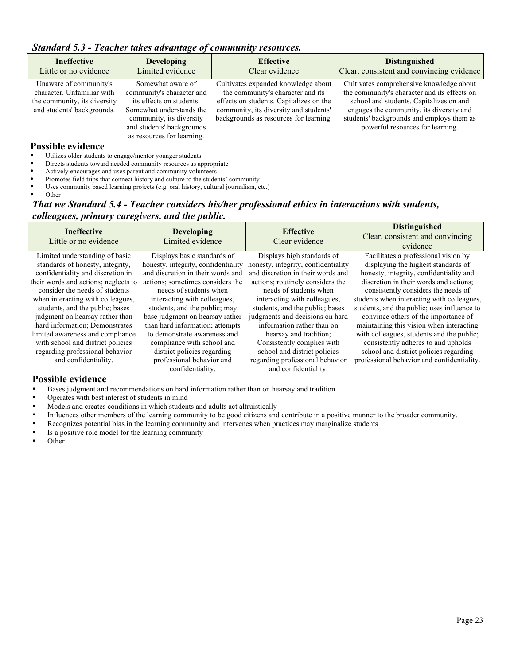|  | Standard 5.3 - Teacher takes advantage of community resources. |
|--|----------------------------------------------------------------|
|  |                                                                |

| <b>Ineffective</b><br>Little or no evidence                                                                        | <b>Developing</b><br>Limited evidence                                                                                                                                                         | <b>Effective</b><br>Clear evidence                                                                                                                                                                      | <b>Distinguished</b><br>Clear, consistent and convincing evidence                                                                                                                                                                                                |
|--------------------------------------------------------------------------------------------------------------------|-----------------------------------------------------------------------------------------------------------------------------------------------------------------------------------------------|---------------------------------------------------------------------------------------------------------------------------------------------------------------------------------------------------------|------------------------------------------------------------------------------------------------------------------------------------------------------------------------------------------------------------------------------------------------------------------|
| Unaware of community's<br>character. Unfamiliar with<br>the community, its diversity<br>and students' backgrounds. | Somewhat aware of<br>community's character and<br>its effects on students.<br>Somewhat understands the<br>community, its diversity<br>and students' backgrounds<br>as resources for learning. | Cultivates expanded knowledge about<br>the community's character and its<br>effects on students. Capitalizes on the<br>community, its diversity and students'<br>backgrounds as resources for learning. | Cultivates comprehensive knowledge about<br>the community's character and its effects on<br>school and students. Capitalizes on and<br>engages the community, its diversity and<br>students' backgrounds and employs them as<br>powerful resources for learning. |

#### **Possible evidence**

- Utilizes older students to engage/mentor younger students
- Directs students toward needed community resources as appropriate
- Actively encourages and uses parent and community volunteers<br>• Promotes field trips that connect history and culture to the stude
- Promotes field trips that connect history and culture to the students' community<br>• Uses community based learning projects (e.g. oral history, cultural journalism, e.g.
- Uses community based learning projects (e.g. oral history, cultural journalism, etc.)
- Other

#### *That we Standard 5.4 - Teacher considers his/her professional ethics in interactions with students, colleagues, primary caregivers, and the public.*

| <b>Ineffective</b><br>Little or no evidence | <b>Developing</b><br>Limited evidence | <b>Effective</b><br>Clear evidence  | <b>Distinguished</b><br>Clear, consistent and convincing<br>evidence |
|---------------------------------------------|---------------------------------------|-------------------------------------|----------------------------------------------------------------------|
| Limited understanding of basic              | Displays basic standards of           | Displays high standards of          | Facilitates a professional vision by                                 |
| standards of honesty, integrity,            | honesty, integrity, confidentiality   | honesty, integrity, confidentiality | displaying the highest standards of                                  |
| confidentiality and discretion in           | and discretion in their words and     | and discretion in their words and   | honesty, integrity, confidentiality and                              |
| their words and actions; neglects to        | actions; sometimes considers the      | actions; routinely considers the    | discretion in their words and actions;                               |
| consider the needs of students              | needs of students when                | needs of students when              | consistently considers the needs of                                  |
| when interacting with colleagues,           | interacting with colleagues,          | interacting with colleagues,        | students when interacting with colleagues,                           |
| students, and the public; bases             | students, and the public; may         | students, and the public; bases     | students, and the public; uses influence to                          |
| judgment on hearsay rather than             | base judgment on hearsay rather       | judgments and decisions on hard     | convince others of the importance of                                 |
| hard information; Demonstrates              | than hard information; attempts       | information rather than on          | maintaining this vision when interacting                             |
| limited awareness and compliance            | to demonstrate awareness and          | hearsay and tradition;              | with colleagues, students and the public;                            |
| with school and district policies           | compliance with school and            | Consistently complies with          | consistently adheres to and upholds                                  |
| regarding professional behavior             | district policies regarding           | school and district policies        | school and district policies regarding                               |
| and confidentiality.                        | professional behavior and             | regarding professional behavior     | professional behavior and confidentiality.                           |
|                                             | confidentiality.                      | and confidentiality.                |                                                                      |
| Possible evidence                           |                                       |                                     |                                                                      |

- Bases judgment and recommendations on hard information rather than on hearsay and tradition
- Operates with best interest of students in mind
- Models and creates conditions in which students and adults act altruistically
- Influences other members of the learning community to be good citizens and contribute in a positive manner to the broader community.
- Recognizes potential bias in the learning community and intervenes when practices may marginalize students
- Is a positive role model for the learning community
- Other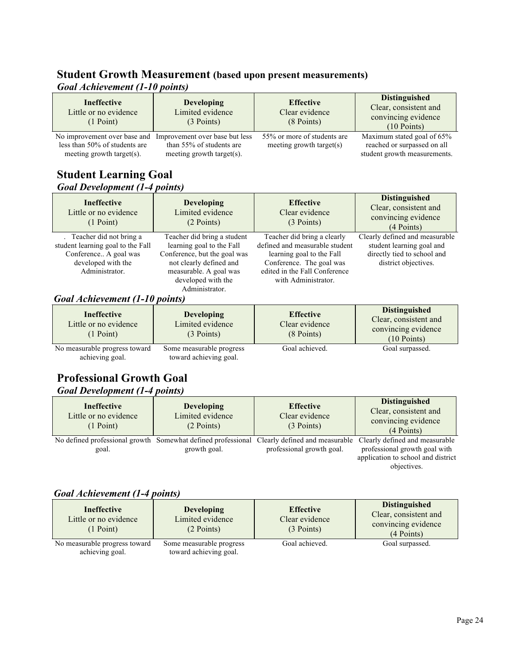#### **Student Growth Measurement (based upon present measurements)** *Goal Achievement (1-10 points)*

| <b>Ineffective</b><br>Little or no evidence<br>(1 Point)                                   | <b>Developing</b><br>Limited evidence<br>$(3$ Points)                                   | <b>Effective</b><br>Clear evidence<br>(8 Points)           | <b>Distinguished</b><br>Clear, consistent and<br>convincing evidence<br>$(10$ Points)     |
|--------------------------------------------------------------------------------------------|-----------------------------------------------------------------------------------------|------------------------------------------------------------|-------------------------------------------------------------------------------------------|
| No improvement over base and<br>less than 50% of students are<br>meeting growth target(s). | Improvement over base but less<br>than 55% of students are<br>meeting growth target(s). | 55% or more of students are<br>meeting growth target $(s)$ | Maximum stated goal of 65%<br>reached or surpassed on all<br>student growth measurements. |

#### **Student Learning Goal**  *Goal Development (1-4 points)*

| <b>Ineffective</b><br>Little or no evidence<br>$(1$ Point)                                                                      | <b>Developing</b><br>Limited evidence<br>$(2$ Points)                                                                                         | <b>Effective</b><br>Clear evidence<br>$(3$ Points)                                                                                                      | <b>Distinguished</b><br>Clear, consistent and<br>convincing evidence<br>(4 Points)                                 |
|---------------------------------------------------------------------------------------------------------------------------------|-----------------------------------------------------------------------------------------------------------------------------------------------|---------------------------------------------------------------------------------------------------------------------------------------------------------|--------------------------------------------------------------------------------------------------------------------|
| . Teacher did not bring a<br>student learning goal to the Fall<br>Conference A goal was<br>developed with the<br>Administrator. | Teacher did bring a student<br>learning goal to the Fall<br>Conference, but the goal was<br>not clearly defined and<br>measurable. A goal was | Teacher did bring a clearly<br>defined and measurable student<br>learning goal to the Fall<br>Conference. The goal was<br>edited in the Fall Conference | Clearly defined and measurable<br>student learning goal and<br>directly tied to school and<br>district objectives. |
|                                                                                                                                 | developed with the<br>Administrator.                                                                                                          | with Administrator.                                                                                                                                     |                                                                                                                    |

#### *Goal Achievement (1-10 points)*

| <b>Ineffective</b><br>Little or no evidence<br>$(1$ Point) | <b>Developing</b><br>Limited evidence<br>$(3$ Points) | <b>Effective</b><br>Clear evidence<br>$(8$ Points) | <b>Distinguished</b><br>Clear, consistent and<br>convincing evidence<br>$(10$ Points) |
|------------------------------------------------------------|-------------------------------------------------------|----------------------------------------------------|---------------------------------------------------------------------------------------|
| No measurable progress toward<br>achieving goal.           | Some measurable progress<br>toward achieving goal.    | Goal achieved.                                     | Goal surpassed.                                                                       |

#### **Professional Growth Goal**  *Goal Development (1-4 points)*

| <b>Ineffective</b><br>Little or no evidence<br>$(1$ Point) | <b>Developing</b><br>Limited evidence<br>$(2$ Points) | <b>Effective</b><br>Clear evidence<br>(3 Points)                                                                         | <b>Distinguished</b><br>Clear, consistent and<br>convincing evidence<br>$(4$ Points)                                 |
|------------------------------------------------------------|-------------------------------------------------------|--------------------------------------------------------------------------------------------------------------------------|----------------------------------------------------------------------------------------------------------------------|
| goal.                                                      | growth goal.                                          | No defined professional growth Somewhat defined professional Clearly defined and measurable<br>professional growth goal. | Clearly defined and measurable<br>professional growth goal with<br>application to school and district<br>objectives. |

#### *Goal Achievement (1-4 points)*

| <b>Ineffective</b><br>Little or no evidence<br>$(1$ Point) | <b>Developing</b><br>Limited evidence<br>$(2$ Points) | <b>Effective</b><br>Clear evidence<br>(3 Points) | <b>Distinguished</b><br>Clear, consistent and<br>convincing evidence<br>(4 Points) |
|------------------------------------------------------------|-------------------------------------------------------|--------------------------------------------------|------------------------------------------------------------------------------------|
| No measurable progress toward<br>achieving goal.           | Some measurable progress<br>toward achieving goal.    | Goal achieved.                                   | Goal surpassed.                                                                    |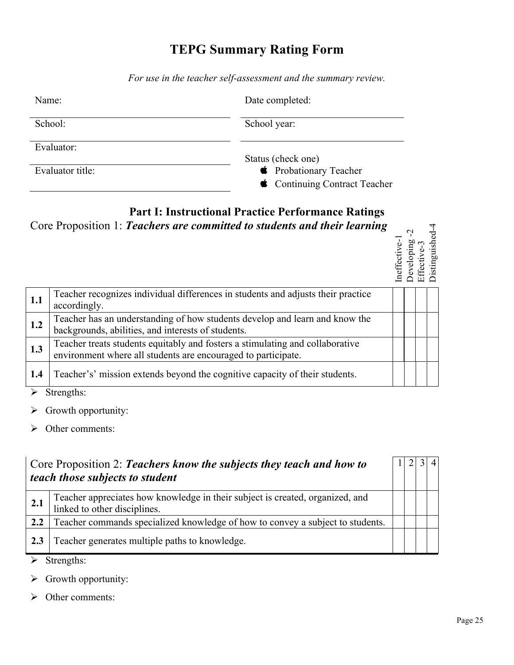## **TEPG Summary Rating Form**

*For use in the teacher self-assessment and the summary review.*

| Name:            | Date completed:                                               |
|------------------|---------------------------------------------------------------|
| School:          | School year:                                                  |
| Evaluator:       | Status (check one)                                            |
| Evaluator title: | <b>CE</b> Probationary Teacher<br>Continuing Contract Teacher |

## **Part I: Instructional Practice Performance Ratings**

Core Proposition 1: *Teachers are committed to students and their learning*

| ctive-<br>$^{+}$ | eveloping | .<br>≧<br>Ę<br>Ē | L<br>Бh<br>Ξ<br>Ξ<br>Ξ |
|------------------|-----------|------------------|------------------------|
|                  |           |                  |                        |

| 1.1 | Teacher recognizes individual differences in students and adjusts their practice<br>accordingly.                                               |  |  |
|-----|------------------------------------------------------------------------------------------------------------------------------------------------|--|--|
| 1.2 | Teacher has an understanding of how students develop and learn and know the<br>backgrounds, abilities, and interests of students.              |  |  |
| 1.3 | Teacher treats students equitably and fosters a stimulating and collaborative<br>environment where all students are encouraged to participate. |  |  |
| 1.4 | Teacher's' mission extends beyond the cognitive capacity of their students.                                                                    |  |  |
|     | $\mathcal{N}$ $\alpha_{i_1, \ldots, i_n}$                                                                                                      |  |  |

Strengths:

- $\triangleright$  Growth opportunity:
- $\triangleright$  Other comments:

|     | Core Proposition 2: Teachers know the subjects they teach and how to<br>teach those subjects to student       |  | $\overline{4}$ |
|-----|---------------------------------------------------------------------------------------------------------------|--|----------------|
| 2.1 | Teacher appreciates how knowledge in their subject is created, organized, and<br>linked to other disciplines. |  |                |
| 2.2 | Teacher commands specialized knowledge of how to convey a subject to students.                                |  |                |
| 2.3 | Teacher generates multiple paths to knowledge.                                                                |  |                |

 $\triangleright$  Strengths:

 $\triangleright$  Growth opportunity:

 $\triangleright$  Other comments: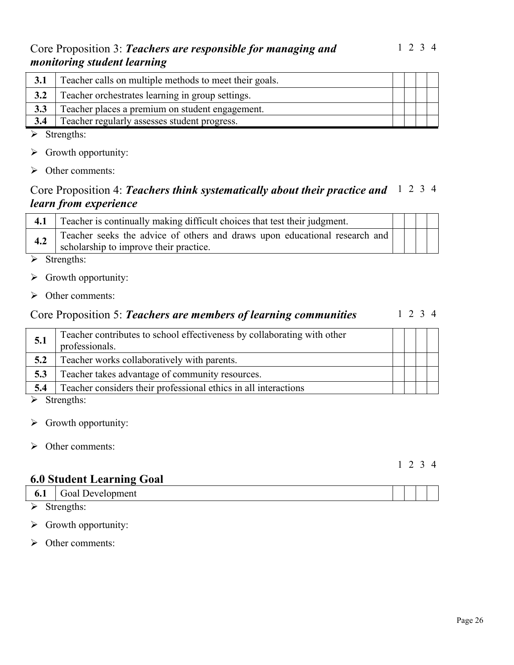## Core Proposition 3: *Teachers are responsible for managing and monitoring student learning*

| 3.1 | Teacher calls on multiple methods to meet their goals. |  |  |
|-----|--------------------------------------------------------|--|--|
| 3.2 | Teacher orchestrates learning in group settings.       |  |  |
| 3.3 | Teacher places a premium on student engagement.        |  |  |
| 3.4 | Teacher regularly assesses student progress.           |  |  |

- $\triangleright$  Strengths:
- $\triangleright$  Growth opportunity:
- $\triangleright$  Other comments:

## Core Proposition 4: *Teachers think systematically about their practice and*  1 2 3 4 *learn from experience*

|     | Teacher is continually making difficult choices that test their judgment.                                              |  |  |
|-----|------------------------------------------------------------------------------------------------------------------------|--|--|
| 4.2 | Teacher seeks the advice of others and draws upon educational research and  <br>scholarship to improve their practice. |  |  |

 $\triangleright$  Strengths:

- $\triangleright$  Growth opportunity:
- $\triangleright$  Other comments:

#### Core Proposition 5: *Teachers are members of learning communities* 1 2 3 4

| 5.1                  | Teacher contributes to school effectiveness by collaborating with other<br>professionals. |  |  |
|----------------------|-------------------------------------------------------------------------------------------|--|--|
| 5.2                  | Teacher works collaboratively with parents.                                               |  |  |
| 5.3                  | Teacher takes advantage of community resources.                                           |  |  |
| 5.4                  | Teacher considers their professional ethics in all interactions                           |  |  |
| $\sim$ $\sim$ $\sim$ |                                                                                           |  |  |

 $\triangleright$  Strengths:

- $\triangleright$  Growth opportunity:
- $\triangleright$  Other comments:

#### 1 2 3 4

## **6.0 Student Learning Goal**

| <b>6.1</b> Goal Development |  |  |
|-----------------------------|--|--|
| $\triangleright$ Strengths: |  |  |

- $\triangleright$  Growth opportunity:
- $\triangleright$  Other comments: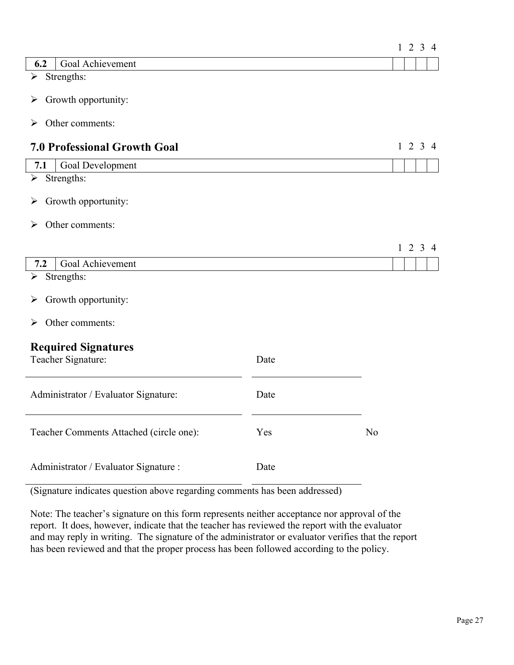|                                                  |      |                | $1 \t2 \t3 \t4$ |  |
|--------------------------------------------------|------|----------------|-----------------|--|
| Goal Achievement<br>6.2                          |      |                |                 |  |
| Strengths:<br>$\blacktriangleright$              |      |                |                 |  |
| Growth opportunity:<br>➤                         |      |                |                 |  |
| Other comments:<br>➤                             |      |                |                 |  |
| <b>7.0 Professional Growth Goal</b>              |      |                | $1 \t2 \t3 \t4$ |  |
| Goal Development<br>7.1                          |      |                |                 |  |
| Strengths:<br>$\blacktriangleright$              |      |                |                 |  |
| Growth opportunity:<br>➤                         |      |                |                 |  |
| Other comments:<br>⋗                             |      |                |                 |  |
|                                                  |      |                |                 |  |
|                                                  |      |                | $1 \t2 \t3 \t4$ |  |
| Goal Achievement<br>7.2                          |      |                |                 |  |
| Strengths:<br>$\blacktriangleright$              |      |                |                 |  |
| Growth opportunity:<br>➤                         |      |                |                 |  |
| Other comments:<br>➤                             |      |                |                 |  |
| <b>Required Signatures</b><br>Teacher Signature: | Date |                |                 |  |
| Administrator / Evaluator Signature:             | Date |                |                 |  |
| Teacher Comments Attached (circle one):          | Yes  | N <sub>0</sub> |                 |  |
| Administrator / Evaluator Signature :            | Date |                |                 |  |

(Signature indicates question above regarding comments has been addressed)

Note: The teacher's signature on this form represents neither acceptance nor approval of the report. It does, however, indicate that the teacher has reviewed the report with the evaluator and may reply in writing. The signature of the administrator or evaluator verifies that the report has been reviewed and that the proper process has been followed according to the policy.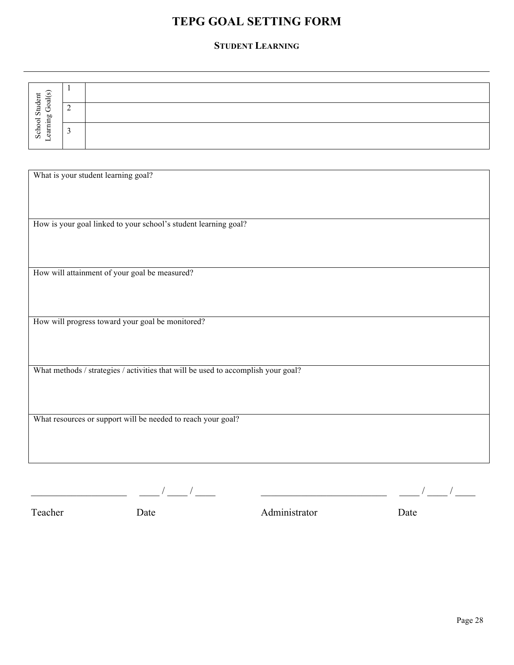## **TEPG GOAL SETTING FORM TEPG GOAL SETTING FORM**

#### **STUDENT LEARNING STUDENT LEARNING**

| ᠆<br>S<br>$\overline{a}$            |        |  |
|-------------------------------------|--------|--|
| ◡<br>Ξ<br>∽<br>OJ.<br>$\equiv$<br>◡ | C<br>∸ |  |
| ∼<br>Sđ<br>_                        |        |  |

| What is your student learning goal?                                               |
|-----------------------------------------------------------------------------------|
|                                                                                   |
|                                                                                   |
| How is your goal linked to your school's student learning goal?                   |
|                                                                                   |
|                                                                                   |
| How will attainment of your goal be measured?                                     |
|                                                                                   |
|                                                                                   |
| How will progress toward your goal be monitored?                                  |
|                                                                                   |
|                                                                                   |
| What methods / strategies / activities that will be used to accomplish your goal? |
|                                                                                   |
|                                                                                   |
| What resources or support will be needed to reach your goal?                      |
|                                                                                   |
|                                                                                   |
|                                                                                   |

\_\_\_\_\_\_\_\_\_\_\_\_\_\_\_\_\_\_\_ \_\_\_\_ / \_\_\_\_ / \_\_\_\_ \_\_\_\_\_\_\_\_\_\_\_\_\_\_\_\_\_\_\_\_\_\_\_\_\_ \_\_\_\_ / \_\_\_\_ / \_\_\_\_

Teacher Date Date Administrator Date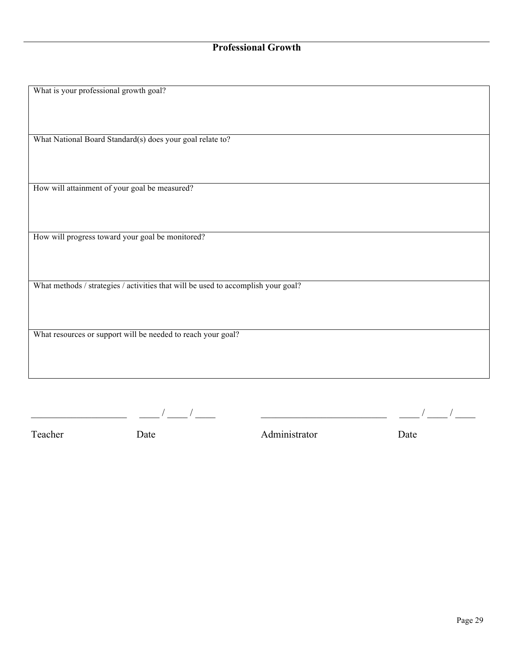| What is your professional growth goal?                                            |
|-----------------------------------------------------------------------------------|
|                                                                                   |
|                                                                                   |
|                                                                                   |
|                                                                                   |
| What National Board Standard(s) does your goal relate to?                         |
|                                                                                   |
|                                                                                   |
|                                                                                   |
|                                                                                   |
| How will attainment of your goal be measured?                                     |
|                                                                                   |
|                                                                                   |
|                                                                                   |
|                                                                                   |
| How will progress toward your goal be monitored?                                  |
|                                                                                   |
|                                                                                   |
|                                                                                   |
| What methods / strategies / activities that will be used to accomplish your goal? |
|                                                                                   |
|                                                                                   |
|                                                                                   |
|                                                                                   |
| What resources or support will be needed to reach your goal?                      |
|                                                                                   |
|                                                                                   |
|                                                                                   |
|                                                                                   |
|                                                                                   |
|                                                                                   |
|                                                                                   |

\_\_\_\_\_\_\_\_\_\_\_\_\_\_\_\_\_\_\_ \_\_\_\_ / \_\_\_\_ / \_\_\_\_ \_\_\_\_\_\_\_\_\_\_\_\_\_\_\_\_\_\_\_\_\_\_\_\_\_ \_\_\_\_ / \_\_\_\_ / \_\_\_\_

Teacher Date Date Administrator Date